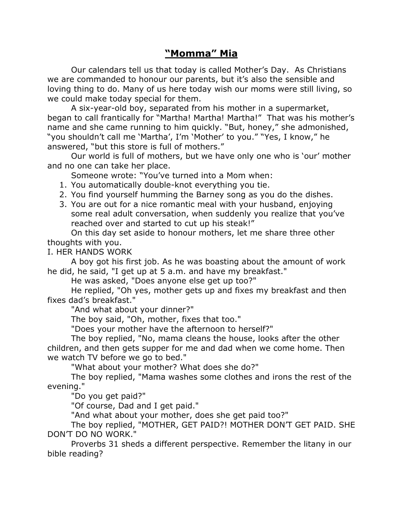## **"Momma" Mia**

Our calendars tell us that today is called Mother's Day. As Christians we are commanded to honour our parents, but it's also the sensible and loving thing to do. Many of us here today wish our moms were still living, so we could make today special for them.

A six-year-old boy, separated from his mother in a supermarket, began to call frantically for "Martha! Martha! Martha!" That was his mother's name and she came running to him quickly. "But, honey," she admonished, "you shouldn't call me 'Martha', I'm 'Mother' to you." "Yes, I know," he answered, "but this store is full of mothers."

Our world is full of mothers, but we have only one who is 'our' mother and no one can take her place.

Someone wrote: "You've turned into a Mom when:

- 1. You automatically double-knot everything you tie.
- 2. You find yourself humming the Barney song as you do the dishes.
- 3. You are out for a nice romantic meal with your husband, enjoying some real adult conversation, when suddenly you realize that you've reached over and started to cut up his steak!"

On this day set aside to honour mothers, let me share three other thoughts with you.

I. HER HANDS WORK

A boy got his first job. As he was boasting about the amount of work he did, he said, "I get up at 5 a.m. and have my breakfast."

He was asked, "Does anyone else get up too?"

He replied, "Oh yes, mother gets up and fixes my breakfast and then fixes dad's breakfast."

"And what about your dinner?"

The boy said, "Oh, mother, fixes that too."

"Does your mother have the afternoon to herself?"

The boy replied, "No, mama cleans the house, looks after the other children, and then gets supper for me and dad when we come home. Then we watch TV before we go to bed."

"What about your mother? What does she do?"

The boy replied, "Mama washes some clothes and irons the rest of the evening."

"Do you get paid?"

"Of course, Dad and I get paid."

"And what about your mother, does she get paid too?"

The boy replied, "MOTHER, GET PAID?! MOTHER DON'T GET PAID. SHE DON'T DO NO WORK."

Proverbs 31 sheds a different perspective. Remember the litany in our bible reading?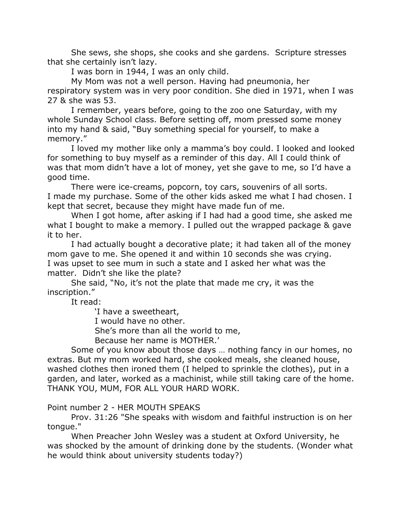She sews, she shops, she cooks and she gardens. Scripture stresses that she certainly isn't lazy.

I was born in 1944, I was an only child.

My Mom was not a well person. Having had pneumonia, her respiratory system was in very poor condition. She died in 1971, when I was 27 & she was 53.

I remember, years before, going to the zoo one Saturday, with my whole Sunday School class. Before setting off, mom pressed some money into my hand & said, "Buy something special for yourself, to make a memory."

I loved my mother like only a mamma's boy could. I looked and looked for something to buy myself as a reminder of this day. All I could think of was that mom didn't have a lot of money, yet she gave to me, so I'd have a good time.

There were ice-creams, popcorn, toy cars, souvenirs of all sorts. I made my purchase. Some of the other kids asked me what I had chosen. I kept that secret, because they might have made fun of me.

When I got home, after asking if I had had a good time, she asked me what I bought to make a memory. I pulled out the wrapped package & gave it to her.

I had actually bought a decorative plate; it had taken all of the money mom gave to me. She opened it and within 10 seconds she was crying. I was upset to see mum in such a state and I asked her what was the matter. Didn't she like the plate?

She said, "No, it's not the plate that made me cry, it was the inscription."

It read:

'I have a sweetheart,

I would have no other.

She's more than all the world to me,

Because her name is MOTHER.'

Some of you know about those days … nothing fancy in our homes, no extras. But my mom worked hard, she cooked meals, she cleaned house, washed clothes then ironed them (I helped to sprinkle the clothes), put in a garden, and later, worked as a machinist, while still taking care of the home. THANK YOU, MUM, FOR ALL YOUR HARD WORK.

## Point number 2 - HER MOUTH SPEAKS

Prov. 31:26 "She speaks with wisdom and faithful instruction is on her tongue."

When Preacher John Wesley was a student at Oxford University, he was shocked by the amount of drinking done by the students. (Wonder what he would think about university students today?)